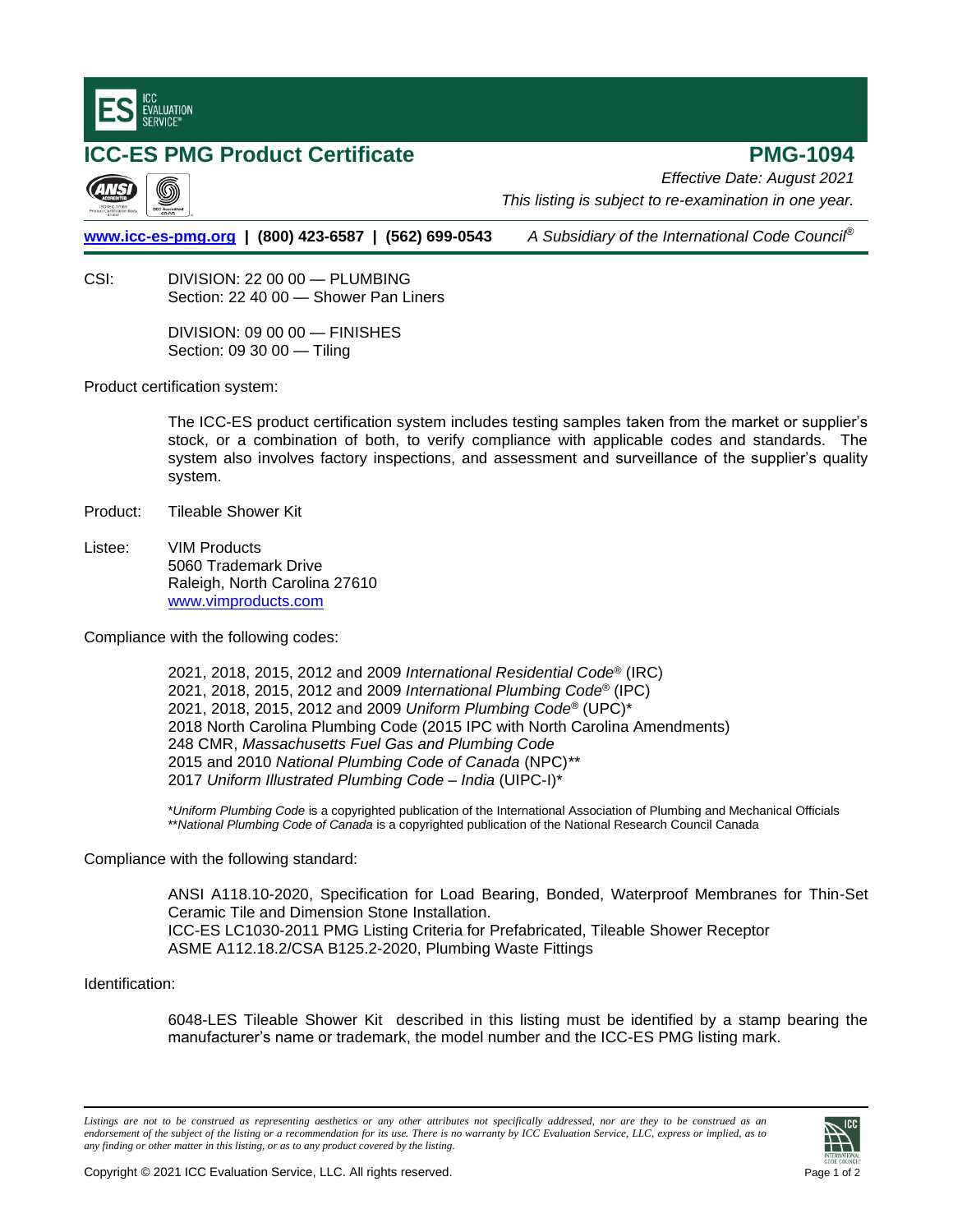

## **ICC-ES PMG Product Certificate PMG-1094** *Effective Date: August 2021 This listing is subject to re-examination in one year.* **[www.icc-es-pmg.org](http://www.icc-es-pmg.org/) | (800) 423-6587 | (562) 699-0543** *A Subsidiary of the International Code Council*® CSI: DIVISION: 22 00 00 — PLUMBING Section: 22 40 00 — Shower Pan Liners DIVISION: 09 00 00 — FINISHES Section: 09 30 00 — Tiling Product certification system:

The ICC-ES product certification system includes testing samples taken from the market or supplier's stock, or a combination of both, to verify compliance with applicable codes and standards. The system also involves factory inspections, and assessment and surveillance of the supplier's quality system.

- Product: Tileable Shower Kit
- Listee: VIM Products 5060 Trademark Drive Raleigh, North Carolina 27610 [www.vimproducts.com](http://www.vimproducts.com/)

Compliance with the following codes:

2021, 2018, 2015, 2012 and 2009 *International Residential Code*® (IRC) 2021, 2018, 2015, 2012 and 2009 *International Plumbing Code*® (IPC) 2021, 2018, 2015, 2012 and 2009 *Uniform Plumbing Code®* (UPC)\* 2018 North Carolina Plumbing Code (2015 IPC with North Carolina Amendments) 248 CMR, *Massachusetts Fuel Gas and Plumbing Code* 2015 and 2010 *National Plumbing Code of Canada* (NPC)*\*\** 2017 *Uniform Illustrated Plumbing Code – India* (UIPC-I)\*

\**Uniform Plumbing Code* is a copyrighted publication of the International Association of Plumbing and Mechanical Officials \*\**National Plumbing Code of Canada* is a copyrighted publication of the National Research Council Canada

Compliance with the following standard:

ANSI A118.10-2020, Specification for Load Bearing, Bonded, Waterproof Membranes for Thin-Set Ceramic Tile and Dimension Stone Installation. ICC-ES LC1030-2011 PMG Listing Criteria for Prefabricated, Tileable Shower Receptor ASME A112.18.2/CSA B125.2-2020, Plumbing Waste Fittings

## Identification:

6048-LES Tileable Shower Kit described in this listing must be identified by a stamp bearing the manufacturer's name or trademark, the model number and the ICC-ES PMG listing mark.

*Listings are not to be construed as representing aesthetics or any other attributes not specifically addressed, nor are they to be construed as an endorsement of the subject of the listing or a recommendation for its use. There is no warranty by ICC Evaluation Service, LLC, express or implied, as to any finding or other matter in this listing, or as to any product covered by the listing.*